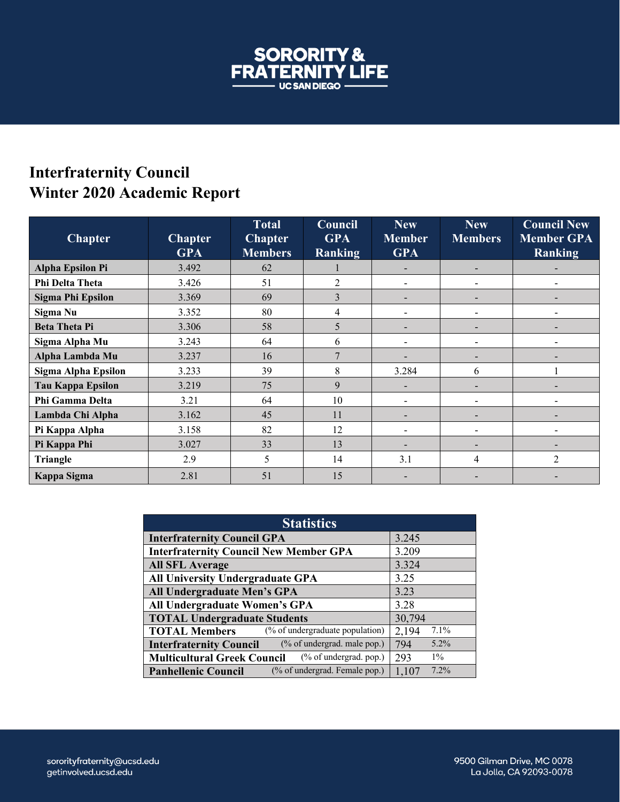

## **Interfraternity Council Winter 2020 Academic Report**

| <b>Chapter</b>             | <b>Chapter</b><br><b>GPA</b> | <b>Total</b><br><b>Chapter</b><br><b>Members</b> | Council<br><b>GPA</b><br><b>Ranking</b> | <b>New</b><br><b>Member</b><br><b>GPA</b> | <b>New</b><br><b>Members</b> | <b>Council New</b><br><b>Member GPA</b><br>Ranking |
|----------------------------|------------------------------|--------------------------------------------------|-----------------------------------------|-------------------------------------------|------------------------------|----------------------------------------------------|
| <b>Alpha Epsilon Pi</b>    | 3.492                        | 62                                               |                                         |                                           | $\blacksquare$               |                                                    |
| Phi Delta Theta            | 3.426                        | 51                                               | $\overline{c}$                          |                                           |                              |                                                    |
| Sigma Phi Epsilon          | 3.369                        | 69                                               | 3                                       |                                           |                              |                                                    |
| Sigma Nu                   | 3.352                        | 80                                               | 4                                       |                                           |                              |                                                    |
| <b>Beta Theta Pi</b>       | 3.306                        | 58                                               | 5                                       |                                           |                              |                                                    |
| Sigma Alpha Mu             | 3.243                        | 64                                               | 6                                       |                                           |                              |                                                    |
| Alpha Lambda Mu            | 3.237                        | 16                                               | 7                                       |                                           |                              |                                                    |
| <b>Sigma Alpha Epsilon</b> | 3.233                        | 39                                               | 8                                       | 3.284                                     | 6                            |                                                    |
| <b>Tau Kappa Epsilon</b>   | 3.219                        | 75                                               | 9                                       |                                           | $\overline{\phantom{0}}$     |                                                    |
| Phi Gamma Delta            | 3.21                         | 64                                               | 10                                      | ۰                                         |                              |                                                    |
| Lambda Chi Alpha           | 3.162                        | 45                                               | 11                                      |                                           |                              |                                                    |
| Pi Kappa Alpha             | 3.158                        | 82                                               | 12                                      |                                           |                              |                                                    |
| Pi Kappa Phi               | 3.027                        | 33                                               | 13                                      |                                           |                              |                                                    |
| Triangle                   | 2.9                          | 5                                                | 14                                      | 3.1                                       | 4                            | 2                                                  |
| Kappa Sigma                | 2.81                         | 51                                               | 15                                      |                                           |                              |                                                    |

| <b>Statistics</b>                                               |                  |  |  |  |
|-----------------------------------------------------------------|------------------|--|--|--|
| <b>Interfraternity Council GPA</b>                              | 3.245            |  |  |  |
| <b>Interfraternity Council New Member GPA</b>                   | 3.209            |  |  |  |
| <b>All SFL Average</b>                                          | 3.324            |  |  |  |
| All University Undergraduate GPA                                | 3.25             |  |  |  |
| All Undergraduate Men's GPA                                     | 3.23             |  |  |  |
| All Undergraduate Women's GPA                                   | 3.28             |  |  |  |
| <b>TOTAL Undergraduate Students</b>                             | 30,794           |  |  |  |
| (% of undergraduate population)<br><b>TOTAL Members</b>         | $7.1\%$<br>2,194 |  |  |  |
| (% of undergrad. male pop.)<br><b>Interfraternity Council</b>   | $5.2\%$<br>794   |  |  |  |
| $(\%$ of undergrad. pop.)<br><b>Multicultural Greek Council</b> | $1\%$<br>293     |  |  |  |
| (% of undergrad. Female pop.)<br><b>Panhellenic Council</b>     | 7.2%<br>1,107    |  |  |  |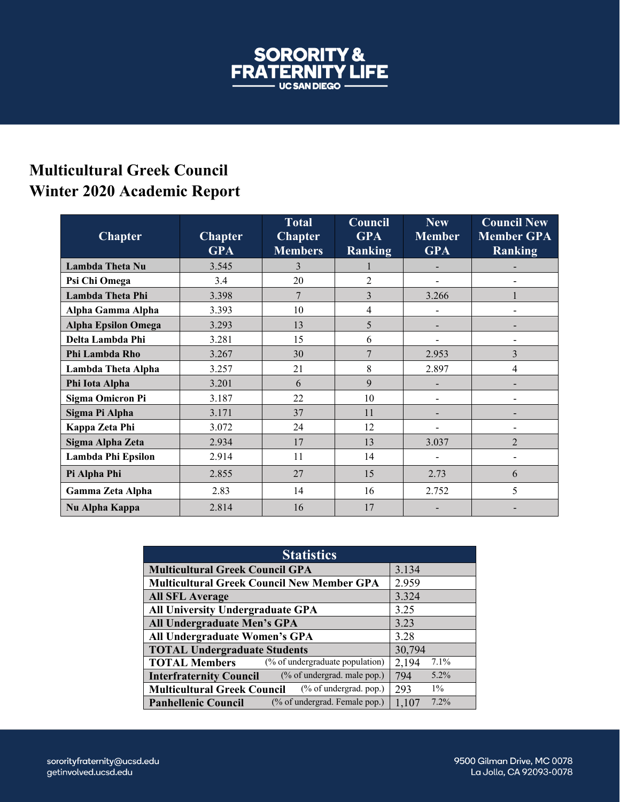

## **Multicultural Greek Council Winter 2020 Academic Report**

| <b>Chapter</b>             | <b>Chapter</b><br><b>GPA</b> | Total<br><b>Chapter</b><br><b>Members</b> | Council<br><b>GPA</b><br><b>Ranking</b> | <b>New</b><br><b>Member</b><br><b>GPA</b> | <b>Council New</b><br><b>Member GPA</b><br><b>Ranking</b> |
|----------------------------|------------------------------|-------------------------------------------|-----------------------------------------|-------------------------------------------|-----------------------------------------------------------|
| Lambda Theta Nu            | 3.545                        | 3                                         |                                         |                                           |                                                           |
| Psi Chi Omega              | 3.4                          | 20                                        | $\overline{c}$                          |                                           |                                                           |
| Lambda Theta Phi           | 3.398                        | $7\phantom{.0}$                           | 3                                       | 3.266                                     |                                                           |
| Alpha Gamma Alpha          | 3.393                        | 10                                        | 4                                       |                                           |                                                           |
| <b>Alpha Epsilon Omega</b> | 3.293                        | 13                                        | 5                                       | $\overline{\phantom{0}}$                  |                                                           |
| Delta Lambda Phi           | 3.281                        | 15                                        | 6                                       | -                                         |                                                           |
| Phi Lambda Rho             | 3.267                        | 30                                        | $\overline{7}$                          | 2.953                                     | 3                                                         |
| Lambda Theta Alpha         | 3.257                        | 21                                        | 8                                       | 2.897                                     | 4                                                         |
| Phi Iota Alpha             | 3.201                        | 6                                         | 9                                       |                                           |                                                           |
| <b>Sigma Omicron Pi</b>    | 3.187                        | 22                                        | 10                                      | $\overline{\phantom{0}}$                  |                                                           |
| Sigma Pi Alpha             | 3.171                        | 37                                        | 11                                      | -                                         |                                                           |
| Kappa Zeta Phi             | 3.072                        | 24                                        | 12                                      |                                           |                                                           |
| Sigma Alpha Zeta           | 2.934                        | 17                                        | 13                                      | 3.037                                     | $\overline{2}$                                            |
| Lambda Phi Epsilon         | 2.914                        | 11                                        | 14                                      | -                                         | $\overline{\phantom{0}}$                                  |
| Pi Alpha Phi               | 2.855                        | 27                                        | 15                                      | 2.73                                      | 6                                                         |
| Gamma Zeta Alpha           | 2.83                         | 14                                        | 16                                      | 2.752                                     | 5                                                         |
| Nu Alpha Kappa             | 2.814                        | 16                                        | 17                                      | -                                         |                                                           |

| <b>Statistics</b>                                               |                  |  |  |  |
|-----------------------------------------------------------------|------------------|--|--|--|
| <b>Multicultural Greek Council GPA</b>                          | 3.134            |  |  |  |
| <b>Multicultural Greek Council New Member GPA</b>               | 2.959            |  |  |  |
| <b>All SFL Average</b>                                          | 3.324            |  |  |  |
| <b>All University Undergraduate GPA</b>                         | 3.25             |  |  |  |
| All Undergraduate Men's GPA                                     | 3.23             |  |  |  |
| All Undergraduate Women's GPA                                   | 3.28             |  |  |  |
| <b>TOTAL Undergraduate Students</b>                             | 30,794           |  |  |  |
| (% of undergraduate population)<br><b>TOTAL Members</b>         | $7.1\%$<br>2,194 |  |  |  |
| (% of undergrad. male pop.)<br><b>Interfraternity Council</b>   | $5.2\%$<br>794   |  |  |  |
| $(\%$ of undergrad. pop.)<br><b>Multicultural Greek Council</b> | $1\%$<br>293     |  |  |  |
| (% of undergrad. Female pop.)<br><b>Panhellenic Council</b>     | 7.2%<br>1,107    |  |  |  |

9500 Gilman Drive, MC 0078 La Jolla, CA 92093-0078